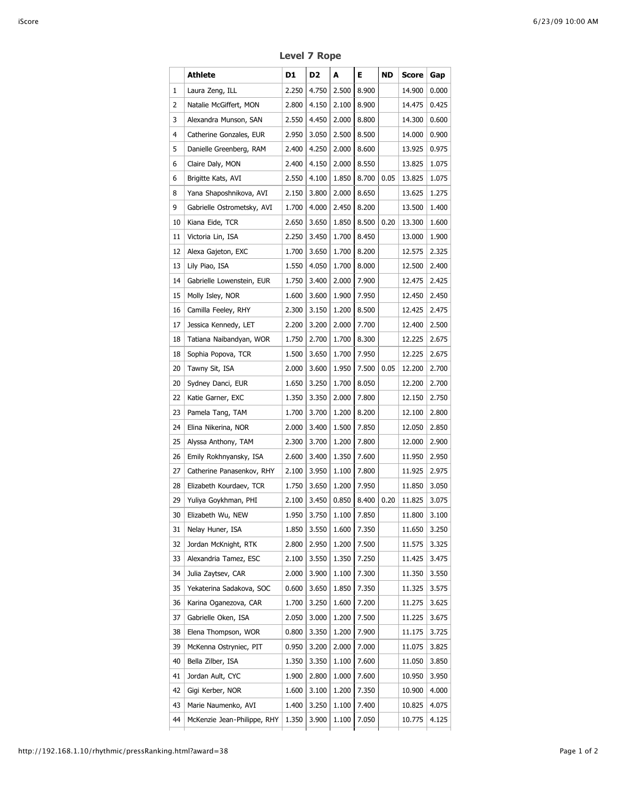|    | Athlete                     | D1    | D2    | A           | Е.    | ND   | Score  | Gap   |
|----|-----------------------------|-------|-------|-------------|-------|------|--------|-------|
| 1  | Laura Zeng, ILL             | 2.250 | 4.750 | 2.500       | 8.900 |      | 14.900 | 0.000 |
| 2  | Natalie McGiffert, MON      | 2.800 | 4.150 | 2.100       | 8.900 |      | 14.475 | 0.425 |
| 3  | Alexandra Munson, SAN       | 2.550 | 4.450 | 2.000       | 8.800 |      | 14.300 | 0.600 |
| 4  | Catherine Gonzales, EUR     | 2.950 | 3.050 | 2.500       | 8.500 |      | 14.000 | 0.900 |
| 5  | Danielle Greenberg, RAM     | 2.400 | 4.250 | 2.000       | 8.600 |      | 13.925 | 0.975 |
| 6  | Claire Daly, MON            | 2.400 | 4.150 | 2.000       | 8.550 |      | 13.825 | 1.075 |
| 6  | Brigitte Kats, AVI          | 2.550 | 4.100 | 1.850       | 8.700 | 0.05 | 13.825 | 1.075 |
| 8  | Yana Shaposhnikova, AVI     | 2.150 | 3.800 | 2.000       | 8.650 |      | 13.625 | 1.275 |
| 9  | Gabrielle Ostrometsky, AVI  | 1.700 | 4.000 | 2.450       | 8.200 |      | 13.500 | 1.400 |
| 10 | Kiana Eide, TCR             | 2.650 | 3.650 | 1.850       | 8.500 | 0.20 | 13.300 | 1.600 |
| 11 | Victoria Lin, ISA           | 2.250 | 3.450 | 1.700       | 8.450 |      | 13.000 | 1.900 |
| 12 | Alexa Gajeton, EXC          | 1.700 | 3.650 | 1.700       | 8.200 |      | 12.575 | 2.325 |
| 13 | Lily Piao, ISA              | 1.550 | 4.050 | 1.700       | 8.000 |      | 12.500 | 2.400 |
| 14 | Gabrielle Lowenstein, EUR   | 1.750 | 3.400 | 2.000       | 7.900 |      | 12.475 | 2.425 |
| 15 | Molly Isley, NOR            | 1.600 | 3.600 | 1.900       | 7.950 |      | 12.450 | 2.450 |
| 16 | Camilla Feeley, RHY         | 2.300 | 3.150 | 1.200       | 8.500 |      | 12.425 | 2.475 |
| 17 | Jessica Kennedy, LET        | 2.200 | 3.200 | 2.000       | 7.700 |      | 12.400 | 2.500 |
| 18 | Tatiana Naibandyan, WOR     | 1.750 | 2.700 | 1.700       | 8.300 |      | 12.225 | 2.675 |
| 18 | Sophia Popova, TCR          | 1.500 | 3.650 | 1.700       | 7.950 |      | 12.225 | 2.675 |
| 20 | Tawny Sit, ISA              | 2.000 | 3.600 | 1.950       | 7.500 | 0.05 | 12.200 | 2.700 |
| 20 | Sydney Danci, EUR           | 1.650 | 3.250 | 1.700       | 8.050 |      | 12.200 | 2.700 |
| 22 | Katie Garner, EXC           | 1.350 | 3.350 | 2.000       | 7.800 |      | 12.150 | 2.750 |
| 23 | Pamela Tang, TAM            | 1.700 | 3.700 | 1.200       | 8.200 |      | 12.100 | 2.800 |
| 24 | Elina Nikerina, NOR         | 2.000 | 3.400 | 1.500       | 7.850 |      | 12.050 | 2.850 |
| 25 | Alyssa Anthony, TAM         | 2.300 | 3.700 | 1.200       | 7.800 |      | 12.000 | 2.900 |
| 26 | Emily Rokhnyansky, ISA      | 2.600 | 3.400 | 1.350       | 7.600 |      | 11.950 | 2.950 |
| 27 | Catherine Panasenkov, RHY   | 2.100 | 3.950 | 1.100       | 7.800 |      | 11.925 | 2.975 |
| 28 | Elizabeth Kourdaev, TCR     | 1.750 | 3.650 | 1.200       | 7.950 |      | 11.850 | 3.050 |
| 29 | Yuliya Goykhman, PHI        | 2.100 | 3.450 | 0.850       | 8.400 | 0.20 | 11.825 | 3.075 |
| 30 | Elizabeth Wu, NEW           | 1.950 |       | 3.750 1.100 | 7.850 |      | 11.800 | 3.100 |
| 31 | Nelay Huner, ISA            | 1.850 | 3.550 | 1.600       | 7.350 |      | 11.650 | 3.250 |
| 32 | Jordan McKnight, RTK        | 2.800 | 2.950 | 1.200       | 7.500 |      | 11.575 | 3.325 |
| 33 | Alexandria Tamez, ESC       | 2.100 | 3.550 | 1.350       | 7.250 |      | 11.425 | 3.475 |
| 34 | Julia Zaytsev, CAR          | 2.000 | 3.900 | 1.100       | 7.300 |      | 11.350 | 3.550 |
| 35 | Yekaterina Sadakova, SOC    | 0.600 | 3.650 | 1.850       | 7.350 |      | 11.325 | 3.575 |
| 36 | Karina Oganezova, CAR       | 1.700 | 3.250 | 1.600       | 7.200 |      | 11.275 | 3.625 |
| 37 | Gabrielle Oken, ISA         | 2.050 | 3.000 | 1.200       | 7.500 |      | 11.225 | 3.675 |
| 38 | Elena Thompson, WOR         | 0.800 | 3.350 | 1.200       | 7.900 |      | 11.175 | 3.725 |
| 39 | McKenna Ostryniec, PIT      | 0.950 | 3.200 | 2.000       | 7.000 |      | 11.075 | 3.825 |
| 40 | Bella Zilber, ISA           | 1.350 | 3.350 | 1.100       | 7.600 |      | 11.050 | 3.850 |
| 41 | Jordan Ault, CYC            | 1.900 | 2.800 | 1.000       | 7.600 |      | 10.950 | 3.950 |
| 42 | Gigi Kerber, NOR            | 1.600 | 3.100 | 1.200       | 7.350 |      | 10.900 | 4.000 |
| 43 | Marie Naumenko, AVI         | 1.400 | 3.250 | 1.100       | 7.400 |      | 10.825 | 4.075 |
| 44 | McKenzie Jean-Philippe, RHY | 1.350 | 3.900 | 1.100       | 7.050 |      | 10.775 | 4.125 |
|    |                             |       |       |             |       |      |        |       |

**Level 7 Rope**